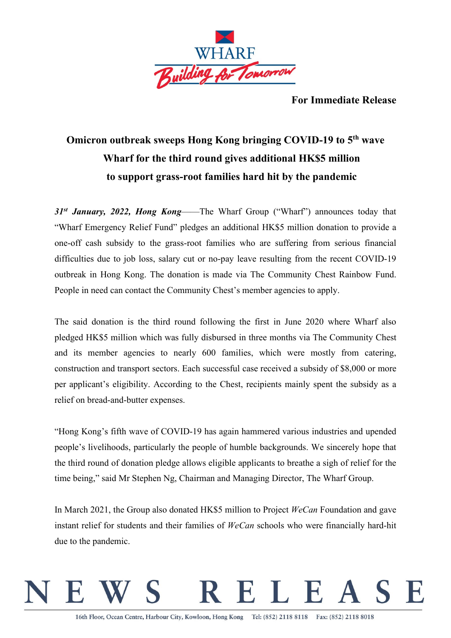

**For Immediate Release**

## **Omicron outbreak sweeps Hong Kong bringing COVID-19 to 5th wave Wharf for the third round gives additional HK\$5 million to support grass-root families hard hit by the pandemic**

*31st January, 2022, Hong Kong*——The Wharf Group ("Wharf") announces today that "Wharf Emergency Relief Fund" pledges an additional HK\$5 million donation to provide a one-off cash subsidy to the grass-root families who are suffering from serious financial difficulties due to job loss, salary cut or no-pay leave resulting from the recent COVID-19 outbreak in Hong Kong. The donation is made via The Community Chest Rainbow Fund. People in need can contact the Community Chest's member agencies to apply.

The said donation is the third round following the first in June 2020 where Wharf also pledged HK\$5 million which was fully disbursed in three months via The Community Chest and its member agencies to nearly 600 families, which were mostly from catering, construction and transport sectors. Each successful case received a subsidy of \$8,000 or more per applicant's eligibility. According to the Chest, recipients mainly spent the subsidy as a relief on bread-and-butter expenses.

"Hong Kong's fifth wave of COVID-19 has again hammered various industries and upended people's livelihoods, particularly the people of humble backgrounds. We sincerely hope that the third round of donation pledge allows eligible applicants to breathe a sigh of relief for the time being," said Mr Stephen Ng, Chairman and Managing Director, The Wharf Group.

In March 2021, the Group also donated HK\$5 million to Project *WeCan* Foundation and gave instant relief for students and their families of *WeCan* schools who were financially hard-hit due to the pandemic.